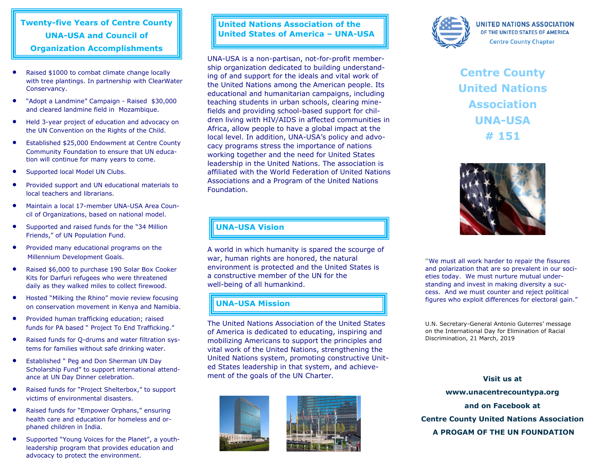# **Twenty-five Years of Centre County UNA-USA and Council of Organization Accomplishments**

- Raised \$1000 to combat climate change locally with tree plantings. In partnership with ClearWater Conservancy.
- "Adopt a Landmine" Campaign Raised \$30,000 and cleared landmine field in Mozambique.
- Held 3-year project of education and advocacy on the UN Convention on the Rights of the Child.
- Established \$25,000 Endowment at Centre County Community Foundation to ensure that UN education will continue for many years to come.
- Supported local Model UN Clubs.
- Provided support and UN educational materials to local teachers and librarians.
- Maintain a local 17-member UNA-USA Area Council of Organizations, based on national model.
- Supported and raised funds for the "34 Million Friends," of UN Population Fund.
- Provided many educational programs on the Millennium Development Goals.
- Raised \$6,000 to purchase 190 Solar Box Cooker Kits for Darfuri refugees who were threatened daily as they walked miles to collect firewood.
- Hosted "Milking the Rhino" movie review focusing on conservation movement in Kenya and Namibia.
- Provided human trafficking education; raised funds for PA based " Project To End Trafficking."
- Raised funds for Q-drums and water filtration systems for families without safe drinking water.
- Established " Peg and Don Sherman UN Day Scholarship Fund" to support international attendance at UN Day Dinner celebration.
- Raised funds for "Project Shelterbox," to support victims of environmental disasters.
- Raised funds for "Empower Orphans," ensuring health care and education for homeless and orphaned children in India.
- Supported "Young Voices for the Planet", a youthleadership program that provides education and advocacy to protect the environment.

### **United Nations Association of the United States of America – UNA-USA**

UNA-USA is a non-partisan, not-for-profit membership organization dedicated to building understanding of and support for the ideals and vital work of the United Nations among the American people. Its educational and humanitarian campaigns, including teaching students in urban schools, clearing minefields and providing school-based support for children living with HIV/AIDS in affected communities in Africa, allow people to have a global impact at the local level. In addition, UNA-USA's policy and advocacy programs stress the importance of nations working together and the need for United States leadership in the United Nations. The association is affiliated with the World Federation of United Nations Associations and a Program of the United Nations Foundation.



A world in which humanity is spared the scourge of war, human rights are honored, the natural environment is protected and the United States is a constructive member of the UN for the well-being of all humankind.

### **UNA-USA Mission**

The United Nations Association of the United States of America is dedicated to educating, inspiring and mobilizing Americans to support the principles and vital work of the United Nations, strengthening the United Nations system, promoting constructive United States leadership in that system, and achievement of the goals of the UN Charter.





UNITED NATIONS ASSOCIATION OF THE UNITED STATES OF AMERICA **Centre County Chapter** 

**Centre County United Nations Association UNA-USA # 151**



**"**We must all work harder to repair the fissures and polarization that are so prevalent in our societies today. We must nurture mutual understanding and invest in making diversity a success. And we must counter and reject political figures who exploit differences for electoral gain."

U.N. Secretary-General Antonio Guterres' message on the International Day for Elimination of Racial Discrimination, 21 March, 2019

**Visit us at www.unacentrecountypa.org and on Facebook at Centre County United Nations Association A PROGAM OF THE UN FOUNDATION**